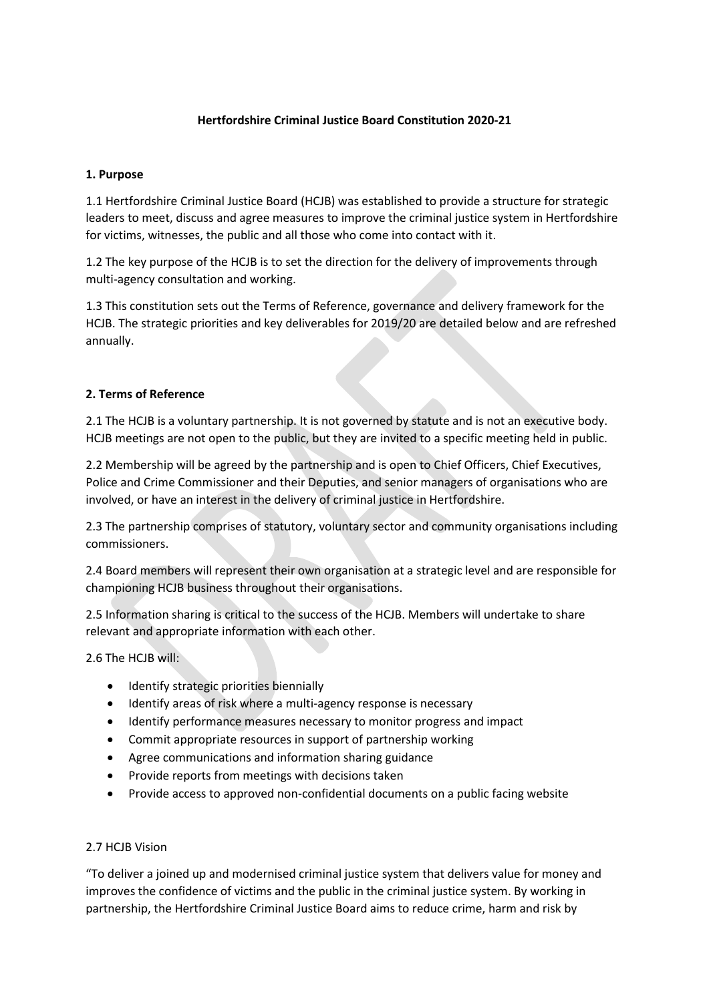## **Hertfordshire Criminal Justice Board Constitution 2020-21**

#### **1. Purpose**

1.1 Hertfordshire Criminal Justice Board (HCJB) was established to provide a structure for strategic leaders to meet, discuss and agree measures to improve the criminal justice system in Hertfordshire for victims, witnesses, the public and all those who come into contact with it.

1.2 The key purpose of the HCJB is to set the direction for the delivery of improvements through multi-agency consultation and working.

1.3 This constitution sets out the Terms of Reference, governance and delivery framework for the HCJB. The strategic priorities and key deliverables for 2019/20 are detailed below and are refreshed annually.

#### **2. Terms of Reference**

2.1 The HCJB is a voluntary partnership. It is not governed by statute and is not an executive body. HCJB meetings are not open to the public, but they are invited to a specific meeting held in public.

2.2 Membership will be agreed by the partnership and is open to Chief Officers, Chief Executives, Police and Crime Commissioner and their Deputies, and senior managers of organisations who are involved, or have an interest in the delivery of criminal justice in Hertfordshire.

2.3 The partnership comprises of statutory, voluntary sector and community organisations including commissioners.

2.4 Board members will represent their own organisation at a strategic level and are responsible for championing HCJB business throughout their organisations.

2.5 Information sharing is critical to the success of the HCJB. Members will undertake to share relevant and appropriate information with each other.

2.6 The HCJB will:

- Identify strategic priorities biennially
- Identify areas of risk where a multi-agency response is necessary
- Identify performance measures necessary to monitor progress and impact
- Commit appropriate resources in support of partnership working
- Agree communications and information sharing guidance
- Provide reports from meetings with decisions taken
- Provide access to approved non-confidential documents on a public facing website

#### 2.7 HCJB Vision

"To deliver a joined up and modernised criminal justice system that delivers value for money and improves the confidence of victims and the public in the criminal justice system. By working in partnership, the Hertfordshire Criminal Justice Board aims to reduce crime, harm and risk by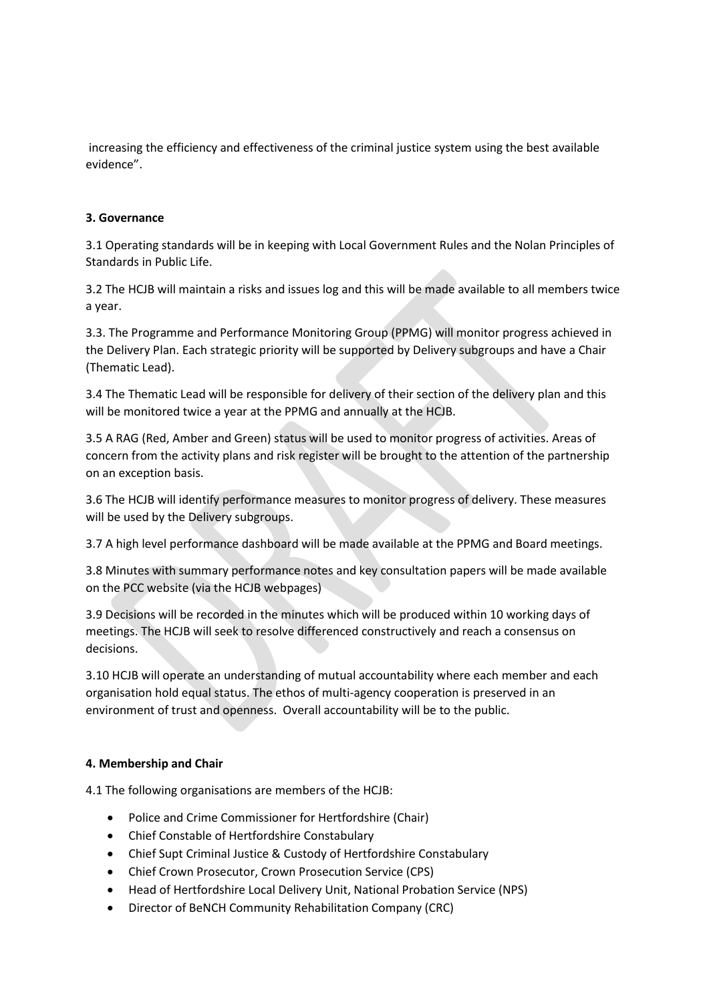increasing the efficiency and effectiveness of the criminal justice system using the best available evidence".

#### **3. Governance**

3.1 Operating standards will be in keeping with Local Government Rules and the Nolan Principles of Standards in Public Life.

3.2 The HCJB will maintain a risks and issues log and this will be made available to all members twice a year.

3.3. The Programme and Performance Monitoring Group (PPMG) will monitor progress achieved in the Delivery Plan. Each strategic priority will be supported by Delivery subgroups and have a Chair (Thematic Lead).

3.4 The Thematic Lead will be responsible for delivery of their section of the delivery plan and this will be monitored twice a year at the PPMG and annually at the HCJB.

3.5 A RAG (Red, Amber and Green) status will be used to monitor progress of activities. Areas of concern from the activity plans and risk register will be brought to the attention of the partnership on an exception basis.

3.6 The HCJB will identify performance measures to monitor progress of delivery. These measures will be used by the Delivery subgroups.

3.7 A high level performance dashboard will be made available at the PPMG and Board meetings.

3.8 Minutes with summary performance notes and key consultation papers will be made available on the PCC website (via the HCJB webpages)

3.9 Decisions will be recorded in the minutes which will be produced within 10 working days of meetings. The HCJB will seek to resolve differenced constructively and reach a consensus on decisions.

3.10 HCJB will operate an understanding of mutual accountability where each member and each organisation hold equal status. The ethos of multi-agency cooperation is preserved in an environment of trust and openness. Overall accountability will be to the public.

#### **4. Membership and Chair**

4.1 The following organisations are members of the HCJB:

- Police and Crime Commissioner for Hertfordshire (Chair)
- Chief Constable of Hertfordshire Constabulary
- Chief Supt Criminal Justice & Custody of Hertfordshire Constabulary
- Chief Crown Prosecutor, Crown Prosecution Service (CPS)
- Head of Hertfordshire Local Delivery Unit, National Probation Service (NPS)
- Director of BeNCH Community Rehabilitation Company (CRC)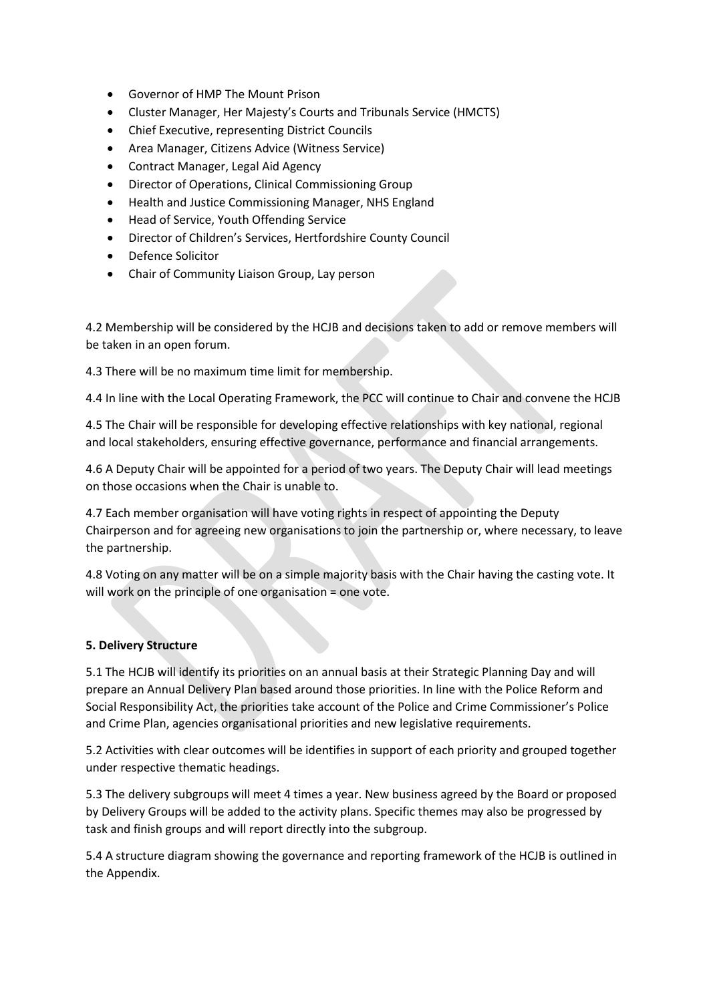- Governor of HMP The Mount Prison
- Cluster Manager, Her Majesty's Courts and Tribunals Service (HMCTS)
- Chief Executive, representing District Councils
- Area Manager, Citizens Advice (Witness Service)
- Contract Manager, Legal Aid Agency
- Director of Operations, Clinical Commissioning Group
- Health and Justice Commissioning Manager, NHS England
- Head of Service, Youth Offending Service
- Director of Children's Services, Hertfordshire County Council
- Defence Solicitor
- Chair of Community Liaison Group, Lay person

4.2 Membership will be considered by the HCJB and decisions taken to add or remove members will be taken in an open forum.

4.3 There will be no maximum time limit for membership.

4.4 In line with the Local Operating Framework, the PCC will continue to Chair and convene the HCJB

4.5 The Chair will be responsible for developing effective relationships with key national, regional and local stakeholders, ensuring effective governance, performance and financial arrangements.

4.6 A Deputy Chair will be appointed for a period of two years. The Deputy Chair will lead meetings on those occasions when the Chair is unable to.

4.7 Each member organisation will have voting rights in respect of appointing the Deputy Chairperson and for agreeing new organisations to join the partnership or, where necessary, to leave the partnership.

4.8 Voting on any matter will be on a simple majority basis with the Chair having the casting vote. It will work on the principle of one organisation = one vote.

#### **5. Delivery Structure**

5.1 The HCJB will identify its priorities on an annual basis at their Strategic Planning Day and will prepare an Annual Delivery Plan based around those priorities. In line with the Police Reform and Social Responsibility Act, the priorities take account of the Police and Crime Commissioner's Police and Crime Plan, agencies organisational priorities and new legislative requirements.

5.2 Activities with clear outcomes will be identifies in support of each priority and grouped together under respective thematic headings.

5.3 The delivery subgroups will meet 4 times a year. New business agreed by the Board or proposed by Delivery Groups will be added to the activity plans. Specific themes may also be progressed by task and finish groups and will report directly into the subgroup.

5.4 A structure diagram showing the governance and reporting framework of the HCJB is outlined in the Appendix.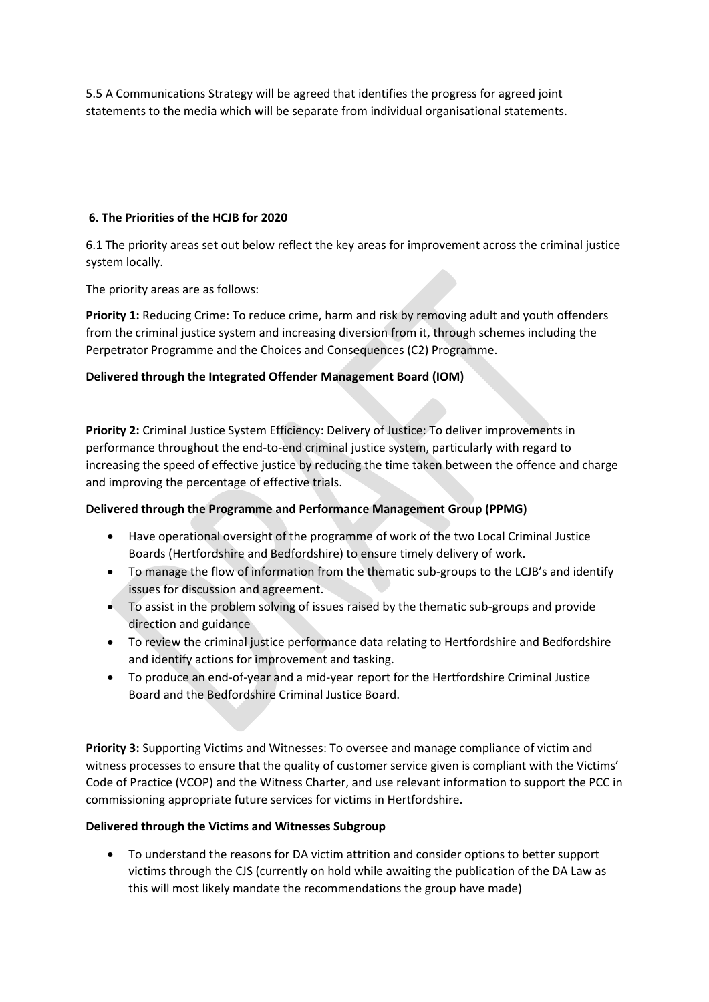5.5 A Communications Strategy will be agreed that identifies the progress for agreed joint statements to the media which will be separate from individual organisational statements.

## **6. The Priorities of the HCJB for 2020**

6.1 The priority areas set out below reflect the key areas for improvement across the criminal justice system locally.

The priority areas are as follows:

**Priority 1:** Reducing Crime: To reduce crime, harm and risk by removing adult and youth offenders from the criminal justice system and increasing diversion from it, through schemes including the Perpetrator Programme and the Choices and Consequences (C2) Programme.

## **Delivered through the Integrated Offender Management Board (IOM)**

**Priority 2:** Criminal Justice System Efficiency: Delivery of Justice: To deliver improvements in performance throughout the end-to-end criminal justice system, particularly with regard to increasing the speed of effective justice by reducing the time taken between the offence and charge and improving the percentage of effective trials.

# **Delivered through the Programme and Performance Management Group (PPMG)**

- Have operational oversight of the programme of work of the two Local Criminal Justice Boards (Hertfordshire and Bedfordshire) to ensure timely delivery of work.
- To manage the flow of information from the thematic sub-groups to the LCJB's and identify issues for discussion and agreement.
- To assist in the problem solving of issues raised by the thematic sub-groups and provide direction and guidance
- To review the criminal justice performance data relating to Hertfordshire and Bedfordshire and identify actions for improvement and tasking.
- To produce an end-of-year and a mid-year report for the Hertfordshire Criminal Justice Board and the Bedfordshire Criminal Justice Board.

**Priority 3:** Supporting Victims and Witnesses: To oversee and manage compliance of victim and witness processes to ensure that the quality of customer service given is compliant with the Victims' Code of Practice (VCOP) and the Witness Charter, and use relevant information to support the PCC in commissioning appropriate future services for victims in Hertfordshire.

### **Delivered through the Victims and Witnesses Subgroup**

• To understand the reasons for DA victim attrition and consider options to better support victims through the CJS (currently on hold while awaiting the publication of the DA Law as this will most likely mandate the recommendations the group have made)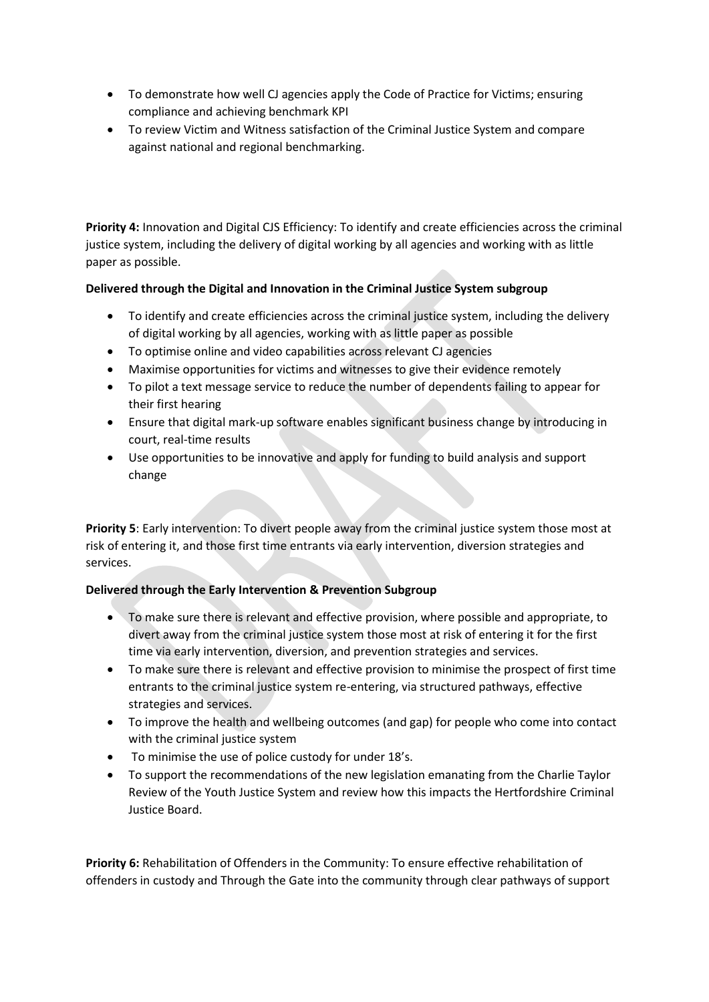- To demonstrate how well CJ agencies apply the Code of Practice for Victims; ensuring compliance and achieving benchmark KPI
- To review Victim and Witness satisfaction of the Criminal Justice System and compare against national and regional benchmarking.

**Priority 4:** Innovation and Digital CJS Efficiency: To identify and create efficiencies across the criminal justice system, including the delivery of digital working by all agencies and working with as little paper as possible.

## **Delivered through the Digital and Innovation in the Criminal Justice System subgroup**

- To identify and create efficiencies across the criminal justice system, including the delivery of digital working by all agencies, working with as little paper as possible
- To optimise online and video capabilities across relevant CJ agencies
- Maximise opportunities for victims and witnesses to give their evidence remotely
- To pilot a text message service to reduce the number of dependents failing to appear for their first hearing
- Ensure that digital mark-up software enables significant business change by introducing in court, real-time results
- Use opportunities to be innovative and apply for funding to build analysis and support change

**Priority 5**: Early intervention: To divert people away from the criminal justice system those most at risk of entering it, and those first time entrants via early intervention, diversion strategies and services.

### **Delivered through the Early Intervention & Prevention Subgroup**

- To make sure there is relevant and effective provision, where possible and appropriate, to divert away from the criminal justice system those most at risk of entering it for the first time via early intervention, diversion, and prevention strategies and services.
- To make sure there is relevant and effective provision to minimise the prospect of first time entrants to the criminal justice system re-entering, via structured pathways, effective strategies and services.
- To improve the health and wellbeing outcomes (and gap) for people who come into contact with the criminal justice system
- To minimise the use of police custody for under 18's.
- To support the recommendations of the new legislation emanating from the Charlie Taylor Review of the Youth Justice System and review how this impacts the Hertfordshire Criminal Justice Board.

**Priority 6:** Rehabilitation of Offenders in the Community: To ensure effective rehabilitation of offenders in custody and Through the Gate into the community through clear pathways of support